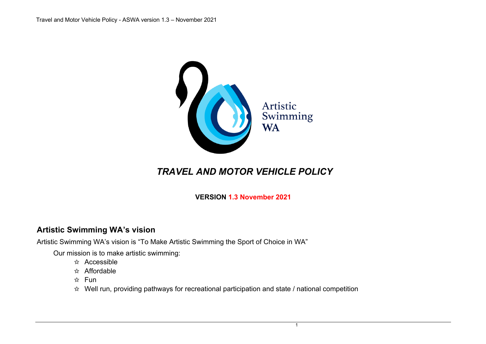

# *TRAVEL AND MOTOR VEHICLE POLICY*

**VERSION 1.3 November 2021**

# **Artistic Swimming WA's vision**

Artistic Swimming WA's vision is "To Make Artistic Swimming the Sport of Choice in WA"

Our mission is to make artistic swimming:

- ✩ Accessible
- ✩ Affordable
- ✩ Fun
- $\hat{x}$  Well run, providing pathways for recreational participation and state / national competition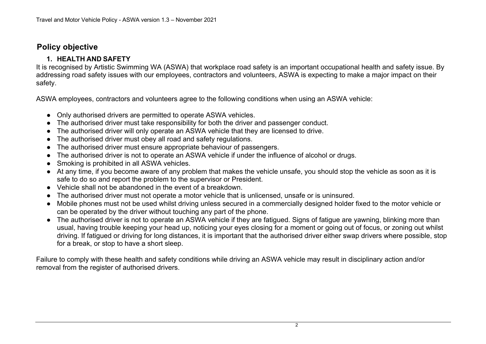# **Policy objective**

#### **1. HEALTH AND SAFETY**

It is recognised by Artistic Swimming WA (ASWA) that workplace road safety is an important occupational health and safety issue. By addressing road safety issues with our employees, contractors and volunteers, ASWA is expecting to make a major impact on their safety.

ASWA employees, contractors and volunteers agree to the following conditions when using an ASWA vehicle:

- Only authorised drivers are permitted to operate ASWA vehicles.
- The authorised driver must take responsibility for both the driver and passenger conduct.
- The authorised driver will only operate an ASWA vehicle that they are licensed to drive.
- The authorised driver must obey all road and safety regulations.
- The authorised driver must ensure appropriate behaviour of passengers.
- The authorised driver is not to operate an ASWA vehicle if under the influence of alcohol or drugs.
- Smoking is prohibited in all ASWA vehicles.
- At any time, if you become aware of any problem that makes the vehicle unsafe, you should stop the vehicle as soon as it is safe to do so and report the problem to the supervisor or President.
- Vehicle shall not be abandoned in the event of a breakdown.
- The authorised driver must not operate a motor vehicle that is unlicensed, unsafe or is uninsured.
- Mobile phones must not be used whilst driving unless secured in a commercially designed holder fixed to the motor vehicle or can be operated by the driver without touching any part of the phone.
- The authorised driver is not to operate an ASWA vehicle if they are fatigued. Signs of fatigue are yawning, blinking more than usual, having trouble keeping your head up, noticing your eyes closing for a moment or going out of focus, or zoning out whilst driving. If fatigued or driving for long distances, it is important that the authorised driver either swap drivers where possible, stop for a break, or stop to have a short sleep.

Failure to comply with these health and safety conditions while driving an ASWA vehicle may result in disciplinary action and/or removal from the register of authorised drivers.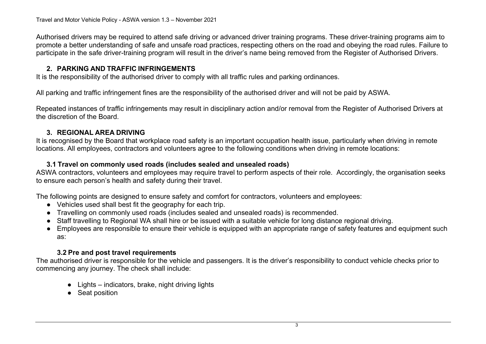Authorised drivers may be required to attend safe driving or advanced driver training programs. These driver-training programs aim to promote a better understanding of safe and unsafe road practices, respecting others on the road and obeying the road rules. Failure to participate in the safe driver-training program will result in the driver's name being removed from the Register of Authorised Drivers.

## **2. PARKING AND TRAFFIC INFRINGEMENTS**

It is the responsibility of the authorised driver to comply with all traffic rules and parking ordinances.

All parking and traffic infringement fines are the responsibility of the authorised driver and will not be paid by ASWA.

Repeated instances of traffic infringements may result in disciplinary action and/or removal from the Register of Authorised Drivers at the discretion of the Board.

## **3. REGIONAL AREA DRIVING**

It is recognised by the Board that workplace road safety is an important occupation health issue, particularly when driving in remote locations. All employees, contractors and volunteers agree to the following conditions when driving in remote locations:

#### **3.1 Travel on commonly used roads (includes sealed and unsealed roads)**

ASWA contractors, volunteers and employees may require travel to perform aspects of their role. Accordingly, the organisation seeks to ensure each person's health and safety during their travel.

The following points are designed to ensure safety and comfort for contractors, volunteers and employees:

- Vehicles used shall best fit the geography for each trip.
- Travelling on commonly used roads (includes sealed and unsealed roads) is recommended.
- Staff travelling to Regional WA shall hire or be issued with a suitable vehicle for long distance regional driving.
- Employees are responsible to ensure their vehicle is equipped with an appropriate range of safety features and equipment such as:

## **3.2 Pre and post travel requirements**

The authorised driver is responsible for the vehicle and passengers. It is the driver's responsibility to conduct vehicle checks prior to commencing any journey. The check shall include:

- $\bullet$  Lights indicators, brake, night driving lights
- Seat position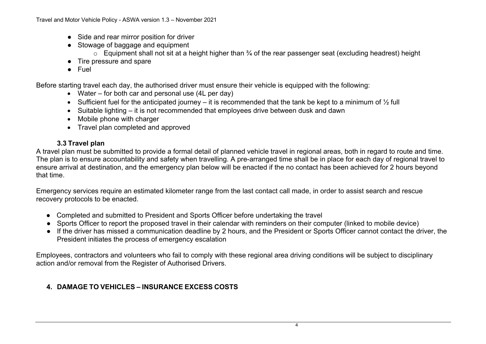- Side and rear mirror position for driver
- Stowage of baggage and equipment
	- $\circ$  Equipment shall not sit at a height higher than  $\frac{3}{4}$  of the rear passenger seat (excluding headrest) height
- Tire pressure and spare
- **Fuel**

Before starting travel each day, the authorised driver must ensure their vehicle is equipped with the following:

- Water for both car and personal use (4L per day)
- Sufficient fuel for the anticipated journey it is recommended that the tank be kept to a minimum of  $\frac{1}{2}$  full
- Suitable lighting it is not recommended that employees drive between dusk and dawn
- Mobile phone with charger
- Travel plan completed and approved

#### **3.3 Travel plan**

A travel plan must be submitted to provide a formal detail of planned vehicle travel in regional areas, both in regard to route and time. The plan is to ensure accountability and safety when travelling. A pre-arranged time shall be in place for each day of regional travel to ensure arrival at destination, and the emergency plan below will be enacted if the no contact has been achieved for 2 hours beyond that time.

Emergency services require an estimated kilometer range from the last contact call made, in order to assist search and rescue recovery protocols to be enacted.

- Completed and submitted to President and Sports Officer before undertaking the travel
- Sports Officer to report the proposed travel in their calendar with reminders on their computer (linked to mobile device)
- If the driver has missed a communication deadline by 2 hours, and the President or Sports Officer cannot contact the driver, the President initiates the process of emergency escalation

Employees, contractors and volunteers who fail to comply with these regional area driving conditions will be subject to disciplinary action and/or removal from the Register of Authorised Drivers.

# **4. DAMAGE TO VEHICLES – INSURANCE EXCESS COSTS**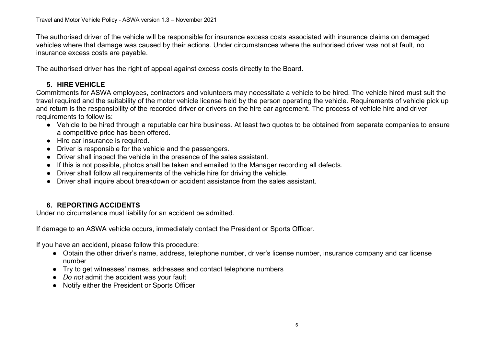The authorised driver of the vehicle will be responsible for insurance excess costs associated with insurance claims on damaged vehicles where that damage was caused by their actions. Under circumstances where the authorised driver was not at fault, no insurance excess costs are payable.

The authorised driver has the right of appeal against excess costs directly to the Board.

# **5. HIRE VEHICLE**

Commitments for ASWA employees, contractors and volunteers may necessitate a vehicle to be hired. The vehicle hired must suit the travel required and the suitability of the motor vehicle license held by the person operating the vehicle. Requirements of vehicle pick up and return is the responsibility of the recorded driver or drivers on the hire car agreement. The process of vehicle hire and driver requirements to follow is:

- Vehicle to be hired through a reputable car hire business. At least two quotes to be obtained from separate companies to ensure a competitive price has been offered.
- Hire car insurance is required.
- Driver is responsible for the vehicle and the passengers.
- Driver shall inspect the vehicle in the presence of the sales assistant.
- If this is not possible, photos shall be taken and emailed to the Manager recording all defects.
- Driver shall follow all requirements of the vehicle hire for driving the vehicle.
- Driver shall inquire about breakdown or accident assistance from the sales assistant.

# **6. REPORTING ACCIDENTS**

Under no circumstance must liability for an accident be admitted.

If damage to an ASWA vehicle occurs, immediately contact the President or Sports Officer.

If you have an accident, please follow this procedure:

- Obtain the other driver's name, address, telephone number, driver's license number, insurance company and car license number
- Try to get witnesses' names, addresses and contact telephone numbers
- *Do not* admit the accident was your fault
- Notify either the President or Sports Officer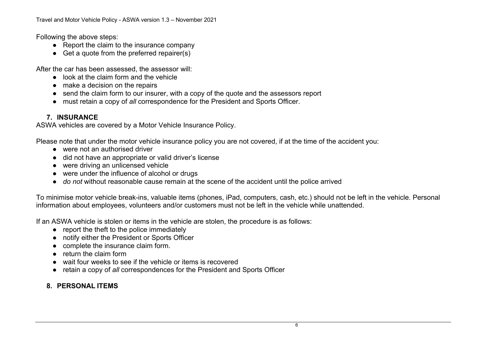Following the above steps:

- Report the claim to the insurance company
- Get a quote from the preferred repairer(s)

After the car has been assessed, the assessor will:

- look at the claim form and the vehicle
- make a decision on the repairs
- send the claim form to our insurer, with a copy of the quote and the assessors report
- must retain a copy of *all* correspondence for the President and Sports Officer.

# **7. INSURANCE**

ASWA vehicles are covered by a Motor Vehicle Insurance Policy.

Please note that under the motor vehicle insurance policy you are not covered, if at the time of the accident you:

- were not an authorised driver
- did not have an appropriate or valid driver's license
- were driving an unlicensed vehicle
- were under the influence of alcohol or drugs
- *do not* without reasonable cause remain at the scene of the accident until the police arrived

To minimise motor vehicle break-ins, valuable items (phones, iPad, computers, cash, etc.) should not be left in the vehicle. Personal information about employees, volunteers and/or customers must not be left in the vehicle while unattended.

If an ASWA vehicle is stolen or items in the vehicle are stolen, the procedure is as follows:

- report the theft to the police immediately
- notify either the President or Sports Officer
- complete the insurance claim form.
- return the claim form
- wait four weeks to see if the vehicle or items is recovered
- retain a copy of *all* correspondences for the President and Sports Officer

## **8. PERSONAL ITEMS**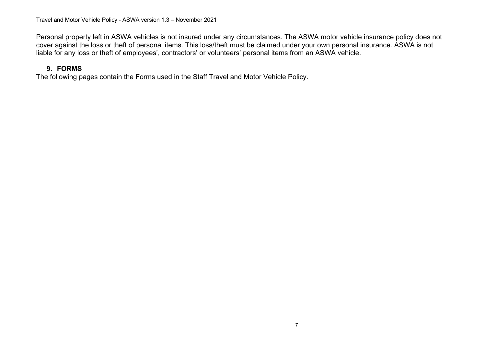Personal property left in ASWA vehicles is not insured under any circumstances. The ASWA motor vehicle insurance policy does not cover against the loss or theft of personal items. This loss/theft must be claimed under your own personal insurance. ASWA is not liable for any loss or theft of employees', contractors' or volunteers' personal items from an ASWA vehicle.

## **9. FORMS**

The following pages contain the Forms used in the Staff Travel and Motor Vehicle Policy.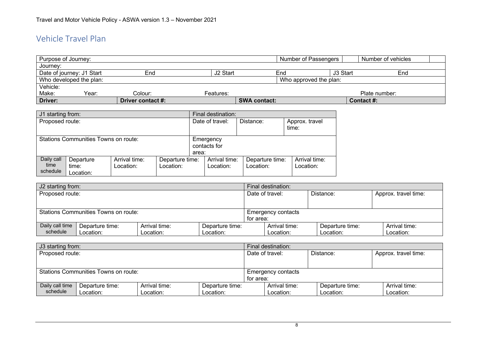# Vehicle Travel Plan

| Purpose of Journey:                               |       |                   |                      | Number of Passengers |                      | Number of vehicles |
|---------------------------------------------------|-------|-------------------|----------------------|----------------------|----------------------|--------------------|
| Journey:                                          |       |                   |                      |                      |                      |                    |
| Date of journey: J1 Start                         |       | End               | J <sub>2</sub> Start | End                  | J <sub>3</sub> Start | End                |
| Who developed the plan:<br>Who approved the plan: |       |                   |                      |                      |                      |                    |
| Vehicle:                                          |       |                   |                      |                      |                      |                    |
| Make:                                             | Year: | Colour:           | Features:            |                      |                      | Plate number:      |
| Driver:                                           |       | Driver contact #: |                      | <b>SWA contact:</b>  |                      | Contact #:         |

| J1 starting from:                                                                                                               |  |  |  | Final destination:                 |                                                         |                            |  |  |
|---------------------------------------------------------------------------------------------------------------------------------|--|--|--|------------------------------------|---------------------------------------------------------|----------------------------|--|--|
| Proposed route:                                                                                                                 |  |  |  |                                    | Date of travel:<br>Distance:<br>Approx. travel<br>time: |                            |  |  |
| <b>Stations Communities Towns on route:</b>                                                                                     |  |  |  | Emergency<br>contacts for<br>area: |                                                         |                            |  |  |
| Daily call<br>Arrival time:<br>Departure time:<br>Departure<br>time<br>Location:<br>Location:<br>time:<br>schedule<br>Location: |  |  |  | Arrival time:<br>Location:         | Departure time:<br>Location:                            | Arrival time:<br>Location: |  |  |

| J2 starting from:                    |                 |               |                 | Final destination: |                           |                 |                      |  |
|--------------------------------------|-----------------|---------------|-----------------|--------------------|---------------------------|-----------------|----------------------|--|
| Proposed route:                      |                 |               |                 |                    | Date of travel:           | Distance:       | Approx. travel time: |  |
|                                      |                 |               |                 |                    |                           |                 |                      |  |
|                                      |                 |               |                 |                    |                           |                 |                      |  |
| Stations Communities Towns on route: |                 |               |                 |                    | <b>Emergency contacts</b> |                 |                      |  |
|                                      |                 |               |                 | for area:          |                           |                 |                      |  |
| Daily call time                      | Departure time: | Arrival time: | Departure time: |                    | Arrival time:             | Departure time: | Arrival time:        |  |
| schedule                             | Location:       | Location:     | Location:       |                    | Location:                 | Location:       | Location:            |  |

| J3 starting from: |                                      |               |                 |                    | Final destination: |                 |                      |  |
|-------------------|--------------------------------------|---------------|-----------------|--------------------|--------------------|-----------------|----------------------|--|
| Proposed route:   |                                      |               |                 |                    | Date of travel:    | Distance:       | Approx. travel time: |  |
|                   |                                      |               |                 |                    |                    |                 |                      |  |
|                   |                                      |               |                 |                    |                    |                 |                      |  |
|                   | Stations Communities Towns on route: |               |                 | Emergency contacts |                    |                 |                      |  |
|                   |                                      |               |                 | for area:          |                    |                 |                      |  |
| Daily call time   | Departure time:                      | Arrival time: | Departure time: |                    | Arrival time:      | Departure time: | Arrival time:        |  |
| schedule          | Location:                            | Location:     | Location:       |                    | Location:          | Location:       | Location:            |  |